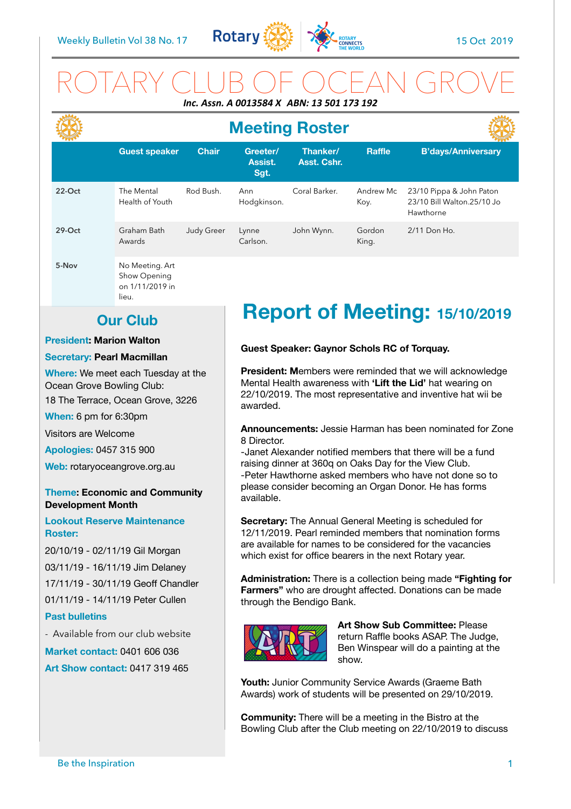

## ROTARY CLUB OF OCEAN GROVE *Inc. Assn. A 0013584 X ABN: 13 501 173 192*

|           | <b>Meeting Roster</b>         |                   |                                    |                         |                   |                                                                     |  |
|-----------|-------------------------------|-------------------|------------------------------------|-------------------------|-------------------|---------------------------------------------------------------------|--|
|           | <b>Guest speaker</b>          | <b>Chair</b>      | Greeter/<br><b>Assist.</b><br>Sgt. | Thanker/<br>Asst. Cshr. | <b>Raffle</b>     | <b>B'days/Anniversary</b>                                           |  |
| $22$ -Oct | The Mental<br>Health of Youth | Rod Bush.         | Ann<br>Hodgkinson.                 | Coral Barker.           | Andrew Mc<br>Koy. | 23/10 Pippa & John Paton<br>23/10 Bill Walton.25/10 Jo<br>Hawthorne |  |
| $29-Oct$  | Graham Bath<br>Awards         | <b>Judy Greer</b> | Lynne<br>Carlson.                  | John Wynn.              | Gordon<br>King.   | 2/11 Don Ho.                                                        |  |
| 5-Nov     | No Meeting. Art               |                   |                                    |                         |                   |                                                                     |  |

Show Opening on 1/11/2019 in lieu.

## **Our Club**

### **President: Marion Walton**

### **Secretary: Pearl Macmillan**

**Where:** We meet each Tuesday at the Ocean Grove Bowling Club:

18 The Terrace, Ocean Grove, 3226

**When:** 6 pm for 6:30pm

Visitors are Welcome

**Apologies:** 0457 315 900

**Web:** rotaryoceangrove.org.au

### **Theme: Economic and Community Development Month**

**Lookout Reserve Maintenance Roster:** 

20/10/19 - 02/11/19 Gil Morgan 03/11/19 - 16/11/19 Jim Delaney 17/11/19 - 30/11/19 Geoff Chandler 01/11/19 - 14/11/19 Peter Cullen **Past bulletins** 

- Available from our club website

**Market contact:** 0401 606 036 **Art Show contact:** 0417 319 465

# **Report of Meeting: 15/10/2019**

### **Guest Speaker: Gaynor Schols RC of Torquay.**

**President: M**embers were reminded that we will acknowledge Mental Health awareness with **'Lift the Lid'** hat wearing on 22/10/2019. The most representative and inventive hat wii be awarded.

**Announcements:** Jessie Harman has been nominated for Zone 8 Director.

-Janet Alexander notified members that there will be a fund raising dinner at 360q on Oaks Day for the View Club. -Peter Hawthorne asked members who have not done so to please consider becoming an Organ Donor. He has forms available.

**Secretary:** The Annual General Meeting is scheduled for 12/11/2019. Pearl reminded members that nomination forms are available for names to be considered for the vacancies which exist for office bearers in the next Rotary year.

**Administration:** There is a collection being made **"Fighting for Farmers"** who are drought affected. Donations can be made through the Bendigo Bank.



**Art Show Sub Committee:** Please return Raffle books ASAP. The Judge, Ben Winspear will do a painting at the show.

**Youth:** Junior Community Service Awards (Graeme Bath Awards) work of students will be presented on 29/10/2019.

**Community:** There will be a meeting in the Bistro at the Bowling Club after the Club meeting on 22/10/2019 to discuss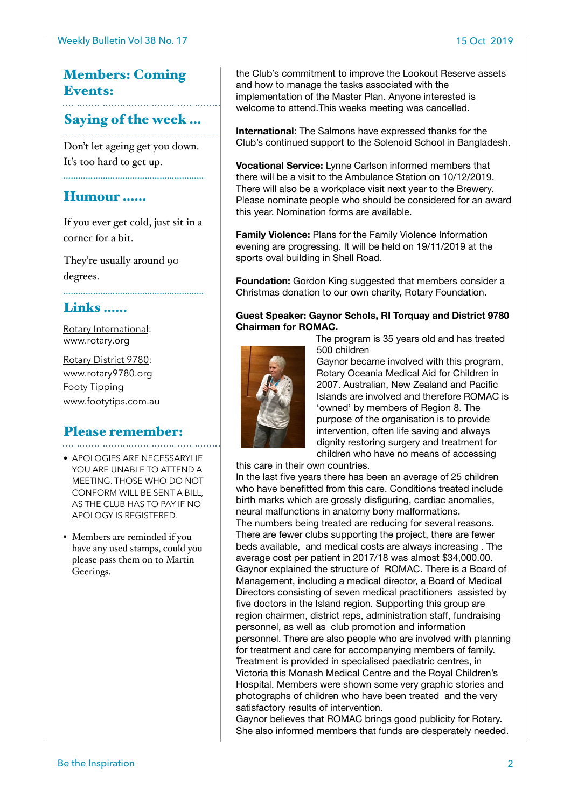### Members: Coming Events:

# Saying of the week …

Don't let ageing get you down. It's too hard to get up.

### Humour ……

If you ever get cold, just sit in a corner for a bit.

…………………………………………………

They're usually around 90 degrees.

### Links ……

[Rotary International:](https://www.rotary.org) [www.rotary.org](http://www.rotary.org)

[Rotary District 9780](http://rotary9780.org): [www.rotary9780.org](http://www.rotary9780.org)  [Footy Tipping](http://www.footytips.com.au) [www.footytips.com.au](http://www.footytips.com.au)

## Please remember:

- APOLOGIES ARE NECESSARY! IF YOU ARE UNABLE TO ATTEND A MEETING. THOSE WHO DO NOT CONFORM WILL BE SENT A BILL, AS THE CLUB HAS TO PAY IF NO APOLOGY IS REGISTERED.
- Members are reminded if you have any used stamps, could you please pass them on to Martin Geerings.

the Club's commitment to improve the Lookout Reserve assets and how to manage the tasks associated with the implementation of the Master Plan. Anyone interested is welcome to attend.This weeks meeting was cancelled.

**International**: The Salmons have expressed thanks for the Club's continued support to the Solenoid School in Bangladesh.

**Vocational Service:** Lynne Carlson informed members that there will be a visit to the Ambulance Station on 10/12/2019. There will also be a workplace visit next year to the Brewery. Please nominate people who should be considered for an award this year. Nomination forms are available.

**Family Violence:** Plans for the Family Violence Information evening are progressing. It will be held on 19/11/2019 at the sports oval building in Shell Road.

**Foundation:** Gordon King suggested that members consider a Christmas donation to our own charity, Rotary Foundation.

### **Guest Speaker: Gaynor Schols, RI Torquay and District 9780 Chairman for ROMAC.**

The program is 35 years old and has treated 500 children



Gaynor became involved with this program, Rotary Oceania Medical Aid for Children in 2007. Australian, New Zealand and Pacific Islands are involved and therefore ROMAC is 'owned' by members of Region 8. The purpose of the organisation is to provide intervention, often life saving and always dignity restoring surgery and treatment for children who have no means of accessing

this care in their own countries.

In the last five years there has been an average of 25 children who have benefitted from this care. Conditions treated include birth marks which are grossly disfiguring, cardiac anomalies, neural malfunctions in anatomy bony malformations. The numbers being treated are reducing for several reasons.

There are fewer clubs supporting the project, there are fewer beds available, and medical costs are always increasing . The average cost per patient in 2017/18 was almost \$34,000.00. Gaynor explained the structure of ROMAC. There is a Board of Management, including a medical director, a Board of Medical Directors consisting of seven medical practitioners assisted by five doctors in the Island region. Supporting this group are region chairmen, district reps, administration staff, fundraising personnel, as well as club promotion and information personnel. There are also people who are involved with planning for treatment and care for accompanying members of family. Treatment is provided in specialised paediatric centres, in Victoria this Monash Medical Centre and the Royal Children's Hospital. Members were shown some very graphic stories and photographs of children who have been treated and the very satisfactory results of intervention.

Gaynor believes that ROMAC brings good publicity for Rotary. She also informed members that funds are desperately needed.